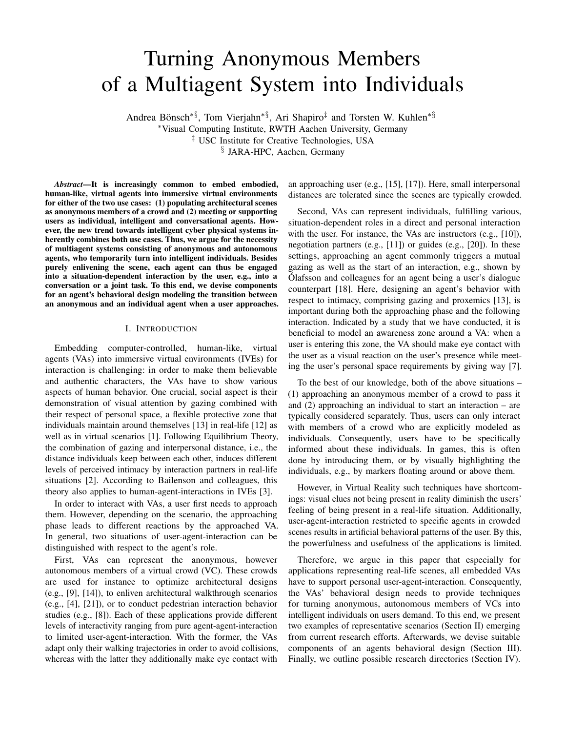# Turning Anonymous Members of a Multiagent System into Individuals

Andrea Bönsch<sup>\*§</sup>, Tom Vierjahn<sup>\*§</sup>, Ari Shapiro<sup>‡</sup> and Torsten W. Kuhlen<sup>\*§</sup>

<sup>∗</sup>Visual Computing Institute, RWTH Aachen University, Germany

‡ USC Institute for Creative Technologies, USA

§ JARA-HPC, Aachen, Germany

*Abstract*—It is increasingly common to embed embodied, human-like, virtual agents into immersive virtual environments for either of the two use cases: (1) populating architectural scenes as anonymous members of a crowd and (2) meeting or supporting users as individual, intelligent and conversational agents. However, the new trend towards intelligent cyber physical systems inherently combines both use cases. Thus, we argue for the necessity of multiagent systems consisting of anonymous and autonomous agents, who temporarily turn into intelligent individuals. Besides purely enlivening the scene, each agent can thus be engaged into a situation-dependent interaction by the user, e.g., into a conversation or a joint task. To this end, we devise components for an agent's behavioral design modeling the transition between an anonymous and an individual agent when a user approaches.

#### I. INTRODUCTION

Embedding computer-controlled, human-like, virtual agents (VAs) into immersive virtual environments (IVEs) for interaction is challenging: in order to make them believable and authentic characters, the VAs have to show various aspects of human behavior. One crucial, social aspect is their demonstration of visual attention by gazing combined with their respect of personal space, a flexible protective zone that individuals maintain around themselves [13] in real-life [12] as well as in virtual scenarios [1]. Following Equilibrium Theory, the combination of gazing and interpersonal distance, i.e., the distance individuals keep between each other, induces different levels of perceived intimacy by interaction partners in real-life situations [2]. According to Bailenson and colleagues, this theory also applies to human-agent-interactions in IVEs [3].

In order to interact with VAs, a user first needs to approach them. However, depending on the scenario, the approaching phase leads to different reactions by the approached VA. In general, two situations of user-agent-interaction can be distinguished with respect to the agent's role.

First, VAs can represent the anonymous, however autonomous members of a virtual crowd (VC). These crowds are used for instance to optimize architectural designs (e.g., [9], [14]), to enliven architectural walkthrough scenarios (e.g., [4], [21]), or to conduct pedestrian interaction behavior studies (e.g., [8]). Each of these applications provide different levels of interactivity ranging from pure agent-agent-interaction to limited user-agent-interaction. With the former, the VAs adapt only their walking trajectories in order to avoid collisions, whereas with the latter they additionally make eye contact with

an approaching user (e.g., [15], [17]). Here, small interpersonal distances are tolerated since the scenes are typically crowded.

Second, VAs can represent individuals, fulfilling various, situation-dependent roles in a direct and personal interaction with the user. For instance, the VAs are instructors (e.g., [10]), negotiation partners (e.g., [11]) or guides (e.g., [20]). In these settings, approaching an agent commonly triggers a mutual gazing as well as the start of an interaction, e.g., shown by Olafsson and colleagues for an agent being a user's dialogue ´ counterpart [18]. Here, designing an agent's behavior with respect to intimacy, comprising gazing and proxemics [13], is important during both the approaching phase and the following interaction. Indicated by a study that we have conducted, it is beneficial to model an awareness zone around a VA: when a user is entering this zone, the VA should make eye contact with the user as a visual reaction on the user's presence while meeting the user's personal space requirements by giving way [7].

To the best of our knowledge, both of the above situations – (1) approaching an anonymous member of a crowd to pass it and (2) approaching an individual to start an interaction – are typically considered separately. Thus, users can only interact with members of a crowd who are explicitly modeled as individuals. Consequently, users have to be specifically informed about these individuals. In games, this is often done by introducing them, or by visually highlighting the individuals, e.g., by markers floating around or above them.

However, in Virtual Reality such techniques have shortcomings: visual clues not being present in reality diminish the users' feeling of being present in a real-life situation. Additionally, user-agent-interaction restricted to specific agents in crowded scenes results in artificial behavioral patterns of the user. By this, the powerfulness and usefulness of the applications is limited.

Therefore, we argue in this paper that especially for applications representing real-life scenes, all embedded VAs have to support personal user-agent-interaction. Consequently, the VAs' behavioral design needs to provide techniques for turning anonymous, autonomous members of VCs into intelligent individuals on users demand. To this end, we present two examples of representative scenarios (Section II) emerging from current research efforts. Afterwards, we devise suitable components of an agents behavioral design (Section III). Finally, we outline possible research directories (Section IV).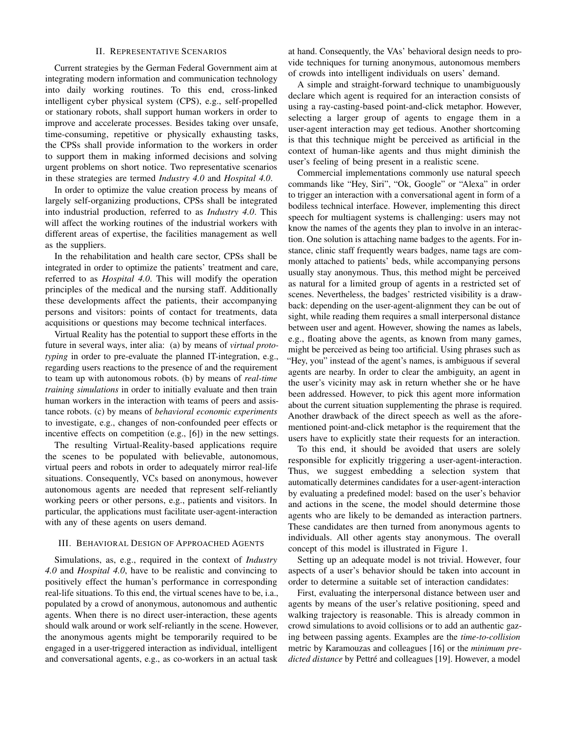## II. REPRESENTATIVE SCENARIOS

Current strategies by the German Federal Government aim at integrating modern information and communication technology into daily working routines. To this end, cross-linked intelligent cyber physical system (CPS), e.g., self-propelled or stationary robots, shall support human workers in order to improve and accelerate processes. Besides taking over unsafe, time-consuming, repetitive or physically exhausting tasks, the CPSs shall provide information to the workers in order to support them in making informed decisions and solving urgent problems on short notice. Two representative scenarios in these strategies are termed *Industry 4.0* and *Hospital 4.0*.

In order to optimize the value creation process by means of largely self-organizing productions, CPSs shall be integrated into industrial production, referred to as *Industry 4.0*. This will affect the working routines of the industrial workers with different areas of expertise, the facilities management as well as the suppliers.

In the rehabilitation and health care sector, CPSs shall be integrated in order to optimize the patients' treatment and care, referred to as *Hospital 4.0*. This will modify the operation principles of the medical and the nursing staff. Additionally these developments affect the patients, their accompanying persons and visitors: points of contact for treatments, data acquisitions or questions may become technical interfaces.

Virtual Reality has the potential to support these efforts in the future in several ways, inter alia: (a) by means of *virtual prototyping* in order to pre-evaluate the planned IT-integration, e.g., regarding users reactions to the presence of and the requirement to team up with autonomous robots. (b) by means of *real-time training simulations* in order to initially evaluate and then train human workers in the interaction with teams of peers and assistance robots. (c) by means of *behavioral economic experiments* to investigate, e.g., changes of non-confounded peer effects or incentive effects on competition (e.g., [6]) in the new settings.

The resulting Virtual-Reality-based applications require the scenes to be populated with believable, autonomous, virtual peers and robots in order to adequately mirror real-life situations. Consequently, VCs based on anonymous, however autonomous agents are needed that represent self-reliantly working peers or other persons, e.g., patients and visitors. In particular, the applications must facilitate user-agent-interaction with any of these agents on users demand.

## III. BEHAVIORAL DESIGN OF APPROACHED AGENTS

Simulations, as, e.g., required in the context of *Industry 4.0* and *Hospital 4.0*, have to be realistic and convincing to positively effect the human's performance in corresponding real-life situations. To this end, the virtual scenes have to be, i.a., populated by a crowd of anonymous, autonomous and authentic agents. When there is no direct user-interaction, these agents should walk around or work self-reliantly in the scene. However, the anonymous agents might be temporarily required to be engaged in a user-triggered interaction as individual, intelligent and conversational agents, e.g., as co-workers in an actual task

at hand. Consequently, the VAs' behavioral design needs to provide techniques for turning anonymous, autonomous members of crowds into intelligent individuals on users' demand.

A simple and straight-forward technique to unambiguously declare which agent is required for an interaction consists of using a ray-casting-based point-and-click metaphor. However, selecting a larger group of agents to engage them in a user-agent interaction may get tedious. Another shortcoming is that this technique might be perceived as artificial in the context of human-like agents and thus might diminish the user's feeling of being present in a realistic scene.

Commercial implementations commonly use natural speech commands like "Hey, Siri", "Ok, Google" or "Alexa" in order to trigger an interaction with a conversational agent in form of a bodiless technical interface. However, implementing this direct speech for multiagent systems is challenging: users may not know the names of the agents they plan to involve in an interaction. One solution is attaching name badges to the agents. For instance, clinic staff frequently wears badges, name tags are commonly attached to patients' beds, while accompanying persons usually stay anonymous. Thus, this method might be perceived as natural for a limited group of agents in a restricted set of scenes. Nevertheless, the badges' restricted visibility is a drawback: depending on the user-agent-alignment they can be out of sight, while reading them requires a small interpersonal distance between user and agent. However, showing the names as labels, e.g., floating above the agents, as known from many games, might be perceived as being too artificial. Using phrases such as "Hey, you" instead of the agent's names, is ambiguous if several agents are nearby. In order to clear the ambiguity, an agent in the user's vicinity may ask in return whether she or he have been addressed. However, to pick this agent more information about the current situation supplementing the phrase is required. Another drawback of the direct speech as well as the aforementioned point-and-click metaphor is the requirement that the users have to explicitly state their requests for an interaction.

To this end, it should be avoided that users are solely responsible for explicitly triggering a user-agent-interaction. Thus, we suggest embedding a selection system that automatically determines candidates for a user-agent-interaction by evaluating a predefined model: based on the user's behavior and actions in the scene, the model should determine those agents who are likely to be demanded as interaction partners. These candidates are then turned from anonymous agents to individuals. All other agents stay anonymous. The overall concept of this model is illustrated in Figure 1.

Setting up an adequate model is not trivial. However, four aspects of a user's behavior should be taken into account in order to determine a suitable set of interaction candidates:

First, evaluating the interpersonal distance between user and agents by means of the user's relative positioning, speed and walking trajectory is reasonable. This is already common in crowd simulations to avoid collisions or to add an authentic gazing between passing agents. Examples are the *time-to-collision* metric by Karamouzas and colleagues [16] or the *minimum predicted distance* by Pettré and colleagues [19]. However, a model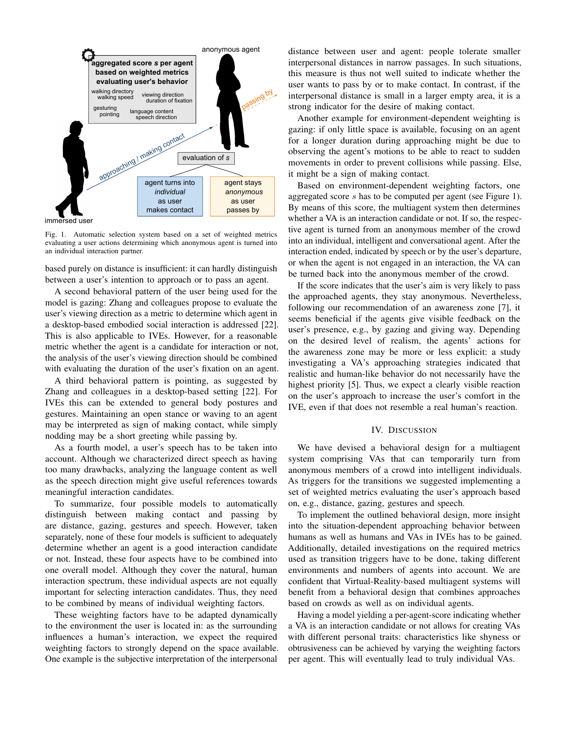

immersed user

Fig. 1. Automatic selection system based on a set of weighted metrics evaluating a user actions determining which anonymous agent is turned into an individual interaction partner.

based purely on distance is insufficient: it can hardly distinguish between a user's intention to approach or to pass an agent.

A second behavioral pattern of the user being used for the model is gazing: Zhang and colleagues propose to evaluate the user's viewing direction as a metric to determine which agent in a desktop-based embodied social interaction is addressed [22]. This is also applicable to IVEs. However, for a reasonable metric whether the agent is a candidate for interaction or not, the analysis of the user's viewing direction should be combined with evaluating the duration of the user's fixation on an agent.

A third behavioral pattern is pointing, as suggested by Zhang and colleagues in a desktop-based setting [22]. For IVEs this can be extended to general body postures and gestures. Maintaining an open stance or waving to an agent may be interpreted as sign of making contact, while simply nodding may be a short greeting while passing by.

As a fourth model, a user's speech has to be taken into account. Although we characterized direct speech as having too many drawbacks, analyzing the language content as well as the speech direction might give useful references towards meaningful interaction candidates.

To summarize, four possible models to automatically distinguish between making contact and passing by are distance, gazing, gestures and speech. However, taken separately, none of these four models is sufficient to adequately determine whether an agent is a good interaction candidate or not. Instead, these four aspects have to be combined into one overall model. Although they cover the natural, human interaction spectrum, these individual aspects are not equally important for selecting interaction candidates. Thus, they need to be combined by means of individual weighting factors.

These weighting factors have to be adapted dynamically to the environment the user is located in: as the surrounding influences a human's interaction, we expect the required weighting factors to strongly depend on the space available. One example is the subjective interpretation of the interpersonal

distance between user and agent: people tolerate smaller interpersonal distances in narrow passages. In such situations, this measure is thus not well suited to indicate whether the user wants to pass by or to make contact. In contrast, if the interpersonal distance is small in a larger empty area, it is a strong indicator for the desire of making contact.

Another example for environment-dependent weighting is gazing: if only little space is available, focusing on an agent for a longer duration during approaching might be due to observing the agent's motions to be able to react to sudden movements in order to prevent collisions while passing. Else, it might be a sign of making contact.

Based on environment-dependent weighting factors, one aggregated score s has to be computed per agent (see Figure 1). By means of this score, the multiagent system then determines whether a VA is an interaction candidate or not. If so, the respective agent is turned from an anonymous member of the crowd into an individual, intelligent and conversational agent. After the interaction ended, indicated by speech or by the user's departure, or when the agent is not engaged in an interaction, the VA can be turned back into the anonymous member of the crowd.

If the score indicates that the user's aim is very likely to pass the approached agents, they stay anonymous. Nevertheless, following our recommendation of an awareness zone [7], it seems beneficial if the agents give visible feedback on the user's presence, e.g., by gazing and giving way. Depending on the desired level of realism, the agents' actions for the awareness zone may be more or less explicit: a study investigating a VA's approaching strategies indicated that realistic and human-like behavior do not necessarily have the highest priority [5]. Thus, we expect a clearly visible reaction on the user's approach to increase the user's comfort in the IVE, even if that does not resemble a real human's reaction.

## IV. DISCUSSION

We have devised a behavioral design for a multiagent system comprising VAs that can temporarily turn from anonymous members of a crowd into intelligent individuals. As triggers for the transitions we suggested implementing a set of weighted metrics evaluating the user's approach based on, e.g., distance, gazing, gestures and speech.

To implement the outlined behavioral design, more insight into the situation-dependent approaching behavior between humans as well as humans and VAs in IVEs has to be gained. Additionally, detailed investigations on the required metrics used as transition triggers have to be done, taking different environments and numbers of agents into account. We are confident that Virtual-Reality-based multiagent systems will benefit from a behavioral design that combines approaches based on crowds as well as on individual agents.

Having a model yielding a per-agent-score indicating whether a VA is an interaction candidate or not allows for creating VAs with different personal traits: characteristics like shyness or obtrusiveness can be achieved by varying the weighting factors per agent. This will eventually lead to truly individual VAs.